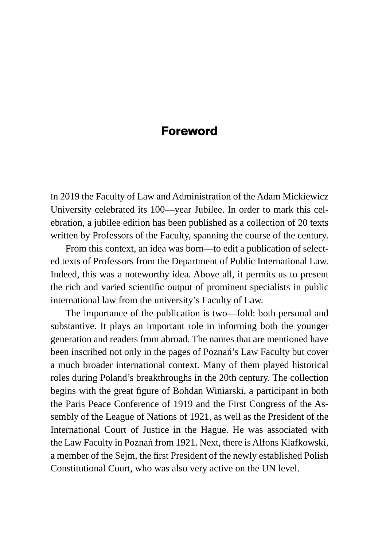## **Foreword**

In 2019 the Faculty of Law and Administration of the Adam Mickiewicz University celebrated its 100—year Jubilee. In order to mark this celebration, a jubilee edition has been published as a collection of 20 texts written by Professors of the Faculty, spanning the course of the century.

From this context, an idea was born—to edit a publication of selected texts of Professors from the Department of Public International Law. Indeed, this was a noteworthy idea. Above all, it permits us to present the rich and varied scientific output of prominent specialists in public international law from the university's Faculty of Law.

The importance of the publication is two—fold: both personal and substantive. It plays an important role in informing both the younger generation and readers from abroad. The names that are mentioned have been inscribed not only in the pages of Poznań's Law Faculty but cover a much broader international context. Many of them played historical roles during Poland's breakthroughs in the 20th century. The collection begins with the great figure of Bohdan Winiarski, a participant in both the Paris Peace Conference of 1919 and the First Congress of the Assembly of the League of Nations of 1921, as well as the President of the International Court of Justice in the Hague. He was associated with the Law Faculty in Poznań from 1921. Next, there is Alfons Klafkowski, a member of the Sejm, the first President of the newly established Polish Constitutional Court, who was also very active on the UN level.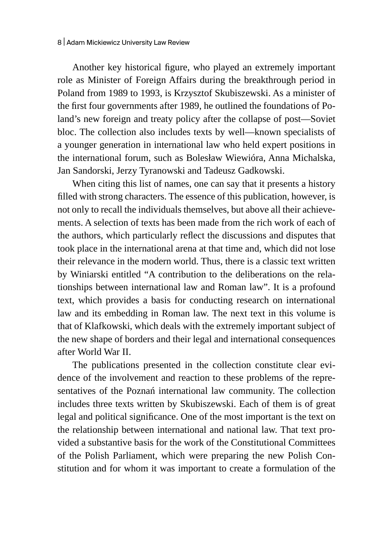Another key historical figure, who played an extremely important role as Minister of Foreign Affairs during the breakthrough period in Poland from 1989 to 1993, is Krzysztof Skubiszewski. As a minister of the first four governments after 1989, he outlined the foundations of Poland's new foreign and treaty policy after the collapse of post—Soviet bloc. The collection also includes texts by well—known specialists of a younger generation in international law who held expert positions in the international forum, such as Bolesław Wiewióra, Anna Michalska, Jan Sandorski, Jerzy Tyranowski and Tadeusz Gadkowski.

When citing this list of names, one can say that it presents a history filled with strong characters. The essence of this publication, however, is not only to recall the individuals themselves, but above all their achievements. A selection of texts has been made from the rich work of each of the authors, which particularly reflect the discussions and disputes that took place in the international arena at that time and, which did not lose their relevance in the modern world. Thus, there is a classic text written by Winiarski entitled "A contribution to the deliberations on the relationships between international law and Roman law". It is a profound text, which provides a basis for conducting research on international law and its embedding in Roman law. The next text in this volume is that of Klafkowski, which deals with the extremely important subject of the new shape of borders and their legal and international consequences after World War II.

The publications presented in the collection constitute clear evidence of the involvement and reaction to these problems of the representatives of the Poznań international law community. The collection includes three texts written by Skubiszewski. Each of them is of great legal and political significance. One of the most important is the text on the relationship between international and national law. That text provided a substantive basis for the work of the Constitutional Committees of the Polish Parliament, which were preparing the new Polish Constitution and for whom it was important to create a formulation of the